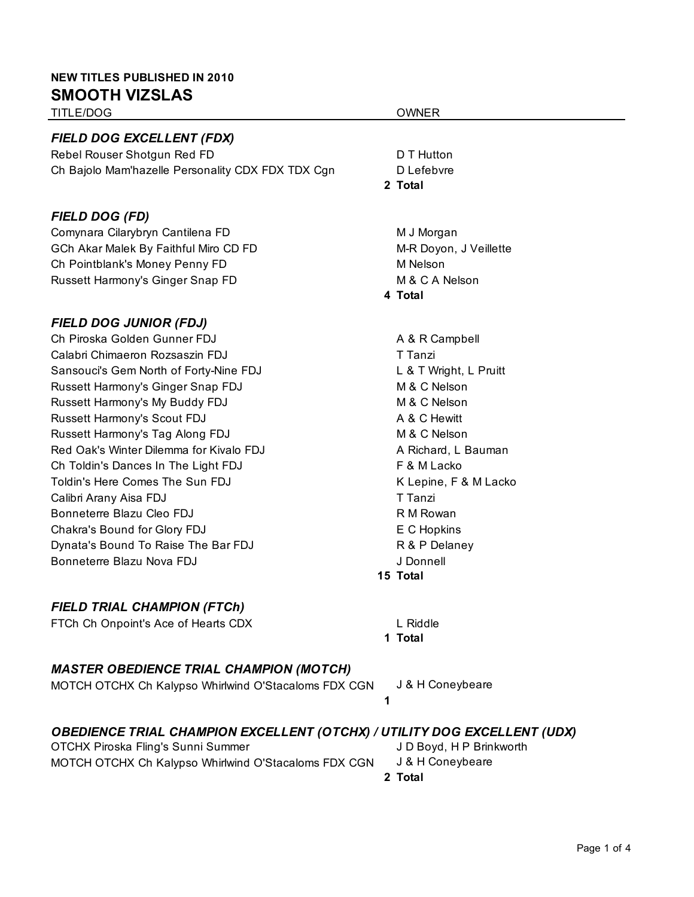#### **NEW TITLES PUBLISHED IN 2010 SMOOTH VIZSLAS**

TITLE/DOG OWNER

#### *FIELD DOG EXCELLENT (FDX)*

Rebel Rouser Shotgun Red FD **D** D T Hutton Ch Bajolo Mam'hazelle Personality CDX FDX TDX Cqn DLefebvre

# *FIELD DOG (FD)*

Comynara Cilarybryn Cantilena FD M J Morgan GCh Akar Malek By Faithful Miro CD FD Manus And M-R Doyon, J Veillette Ch Pointblank's Money Penny FD M Nelson Russett Harmony's Ginger Snap FD M & C A Nelson

# *FIELD DOG JUNIOR (FDJ)*

Ch Piroska Golden Gunner FDJ A & R Campbell Calabri Chimaeron Rozsaszin FDJ Tanzi Sansouci's Gem North of Forty-Nine FDJ L & T Wright, L Pruitt Russett Harmony's Ginger Snap FDJ M & C Nelson Russett Harmony's My Buddy FDJ M C Nelson Russett Harmony's Scout FDJ A & C Hewitt Russett Harmony's Tag Along FDJ M & C Nelson Red Oak's Winter Dilemma for Kivalo FDJ **A Richard, L Bauman** Ch Toldin's Dances In The Light FDJ F & M Lacko Toldin's Here Comes The Sun FDJ **K** Lepine, F & M Lacko K Lepine, F & M Lacko Calibri Arany Aisa FDJ Thangi T Tanzi Bonneterre Blazu Cleo FDJ R M Rowan Chakra's Bound for Glory FDJ **EXALL EXALL EXALL EXALL** EXACTED FOR THE CHOPKINS Dynata's Bound To Raise The Bar FDJ **Research R & P Delaney** Bonneterre Blazu Nova FDJ J Donnell

# *FIELD TRIAL CHAMPION (FTCh)*

FTCh Ch Onpoint's Ace of Hearts CDX L Riddle

# *MASTER OBEDIENCE TRIAL CHAMPION (MOTCH)*

#### MOTCH OTCHX Ch Kalypso Whirlwind O'Stacaloms FDX CGN J & H Coneybeare **1**

# *OBEDIENCE TRIAL CHAMPION EXCELLENT (OTCHX) / UTILITY DOG EXCELLENT (UDX)*

OTCHX Piroska Fling's Sunni Summer J D Boyd, H P Brinkworth MOTCH OTCHX Ch Kalypso Whirlwind O'Stacaloms FDX CGN J & H Coneybeare

# **2 Total**

- 
- 

#### **15 Total**

**1 Total**

**2 Total**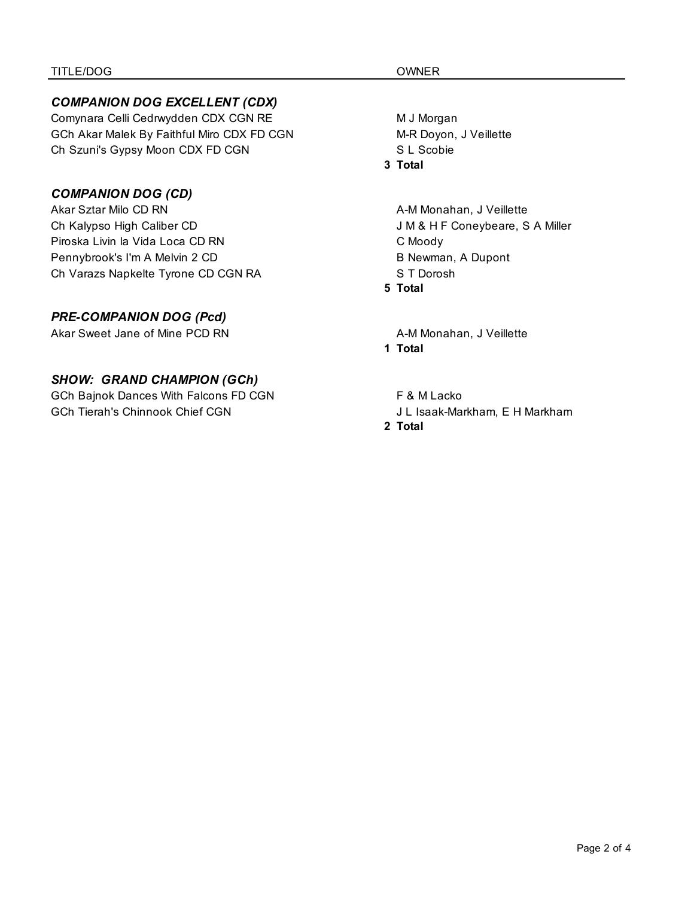#### *COMPANION DOG EXCELLENT (CDX)*

Comynara Celli Cedrwydden CDX CGN RE M J Morgan GCh Akar Malek By Faithful Miro CDX FD CGN M-R Doyon, J Veillette Ch Szuni's Gypsy Moon CDX FD CGN SCODE SL Scobie

### *COMPANION DOG (CD)*

Akar Sztar Milo CD RN A-M Monahan, J Veillette Ch Kalypso High Caliber CD J M & H F Coneybeare, S A Miller Piroska Livin la Vida Loca CD RN C Moody Pennybrook's I'm A Melvin 2 CD B Newman, A Dupont Ch Varazs Napkelte Tyrone CD CGN RA S T Dorosh

### *PRE-COMPANION DOG (Pcd)*

Akar Sweet Jane of Mine PCD RN A-M Monahan, J Veillette

#### *SHOW: GRAND CHAMPION (GCh)*

GCh Bajnok Dances With Falcons FD CGN F & M Lacko GCh Tierah's Chinnook Chief CGN J L Isaak-Markham, E H Markham

#### **3 Total**

# **5 Total**

**1 Total**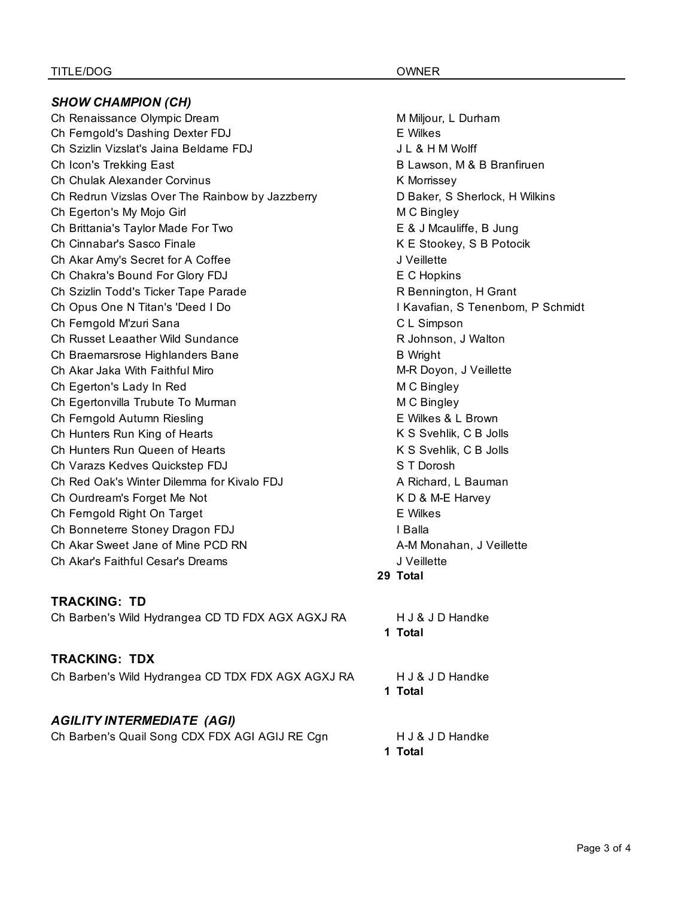#### *SHOW CHAMPION (CH)* Ch Renaissance Olympic Dream Miljour, L Durham Ch Ferngold's Dashing Dexter FDJ EWilkes Ch Szizlin Vizslat's Jaina Beldame FDJ **J L & H M Wolff** Ch Icon's Trekking East **B** Lawson, M & B Branfiruen Ch Chulak Alexander Corvinus **K** Morrissey Ch Redrun Vizslas Over The Rainbow by Jazzberry **DER INCO Baker, S** Sherlock, H Wilkins Ch Egerton's My Mojo Girl M C Bingley Ch Brittania's Taylor Made For Two E & J Mcauliffe, B Jung Ch Cinnabar's Sasco Finale **K E Stookey, S B Potocik** Ch Akar Amy's Secret for A Coffee J Veillette Ch Chakra's Bound For Glory FDJ **EXALL CONSTANDE CONTAINS** Ch Szizlin Todd's Ticker Tape Parade **R Bennington, H Grant** Ch Opus One N Titan's 'Deed I Do I Kavafian, S Tenenbom, P Schmidt Ch Ferngold M'zuri Sana C L Simpson Ch Russet Leaather Wild Sundance **Research Charlotter Charlotter R** Johnson, J Walton Ch Braemarsrose Highlanders Bane B World B Wright Ch Akar Jaka With Faithful Miro **Michael Accord M-R Doyon, J Veillette** Ch Egerton's Lady In Red M C Bingley Ch Egertonvilla Trubute To Murman M C Bingley Ch Ferngold Autumn Riesling E Wilkes & L Brown Ch Hunters Run King of Hearts **K S** Svehlik, C B Jolls Ch Hunters Run Queen of Hearts **K S** Svehlik, C B Jolls Ch Varazs Kedves Quickstep FDJ S T Dorosh Ch Red Oak's Winter Dilemma for Kivalo FDJ **A Richard, L Bauman** Ch Ourdream's Forget Me Not K D & M-E Harvey Ch Ferngold Right On Target **Exercise EXISTS** E Wilkes Ch Bonneterre Stoney Dragon FDJ **I Balla** Ch Akar Sweet Jane of Mine PCD RN A-M Monahan, J Veillette Ch Akar's Faithful Cesar's Dreams J Veillette

#### **TRACKING: TD**

Ch Barben's Wild Hydrangea CD TD FDX AGX AGXJ RA H J & J D Handke

#### **TRACKING: TDX**

Ch Barben's Wild Hydrangea CD TDX FDX AGX AGXJ RA H J & J D Handke

#### *AGILITY INTERMEDIATE (AGI)*

Ch Barben's Quail Song CDX FDX AGI AGIJ RE Cgn H J & J D Handke

**29 Total**

**1 Total**

**1 Total**